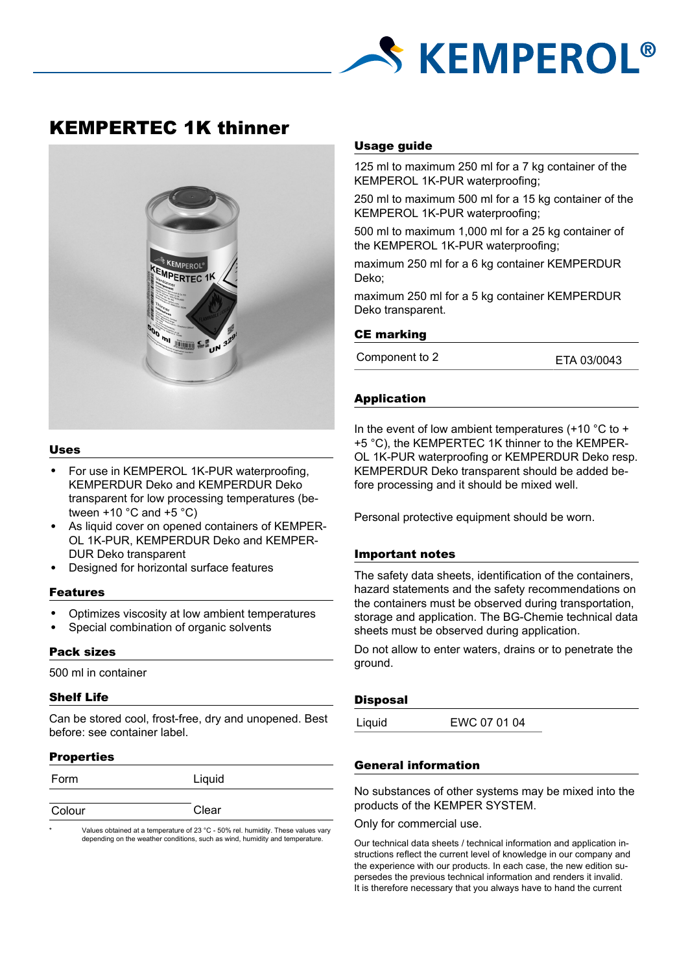

# KEMPERTEC 1K thinner



#### Uses

- For use in KEMPEROL 1K-PUR waterproofing, KEMPERDUR Deko and KEMPERDUR Deko transparent for low processing temperatures (between  $+10$  °C and  $+5$  °C)
- As liquid cover on opened containers of KEMPER-OL 1K-PUR, KEMPERDUR Deko and KEMPER-DUR Deko transparent
- Designed for horizontal surface features

#### Features

- Optimizes viscosity at low ambient temperatures
- Special combination of organic solvents

## Pack sizes

500 ml in container

## Shelf Life

Can be stored cool, frost-free, dry and unopened. Best before: see container label.

## **Properties**

| Form   | Liquid |
|--------|--------|
| Colour | Clear  |

Values obtained at a temperature of 23 °C - 50% rel. humidity. These values vary depending on the weather conditions, such as wind, humidity and temperature.

# Usage guide

125 ml to maximum 250 ml for a 7 kg container of the KEMPEROL 1K-PUR waterproofing;

250 ml to maximum 500 ml for a 15 kg container of the KEMPEROL 1K-PUR waterproofing;

500 ml to maximum 1,000 ml for a 25 kg container of the KEMPEROL 1K-PUR waterproofing;

maximum 250 ml for a 6 kg container KEMPERDUR Deko;

maximum 250 ml for a 5 kg container KEMPERDUR Deko transparent.

#### CE marking

Component to 2 ETA 03/0043

# Application

In the event of low ambient temperatures  $(+10 \degree C$  to  $+$ +5 °C), the KEMPERTEC 1K thinner to the KEMPER-OL 1K-PUR waterproofing or KEMPERDUR Deko resp. KEMPERDUR Deko transparent should be added before processing and it should be mixed well.

Personal protective equipment should be worn.

## Important notes

The safety data sheets, identification of the containers, hazard statements and the safety recommendations on the containers must be observed during transportation, storage and application. The BG-Chemie technical data sheets must be observed during application.

Do not allow to enter waters, drains or to penetrate the ground.

## **Disposal**

Liquid EWC 07 01 04

# General information

No substances of other systems may be mixed into the products of the KEMPER SYSTEM.

Only for commercial use.

Our technical data sheets / technical information and application instructions reflect the current level of knowledge in our company and the experience with our products. In each case, the new edition supersedes the previous technical information and renders it invalid. It is therefore necessary that you always have to hand the current